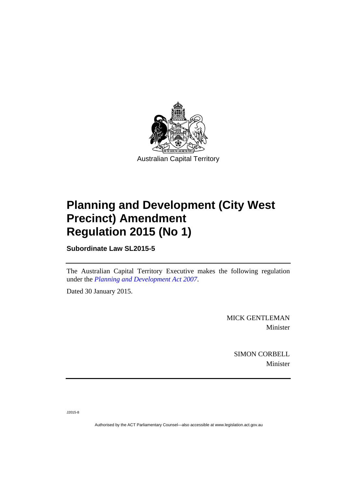

## **Planning and Development (City West Precinct) Amendment Regulation 2015 (No 1)**

**Subordinate Law SL2015-5** 

The Australian Capital Territory Executive makes the following regulation under the *[Planning and Development Act 2007](http://www.legislation.act.gov.au/a/2007-24)*.

Dated 30 January 2015.

MICK GENTLEMAN Minister

> SIMON CORBELL Minister

J2015-8

Authorised by the ACT Parliamentary Counsel—also accessible at www.legislation.act.gov.au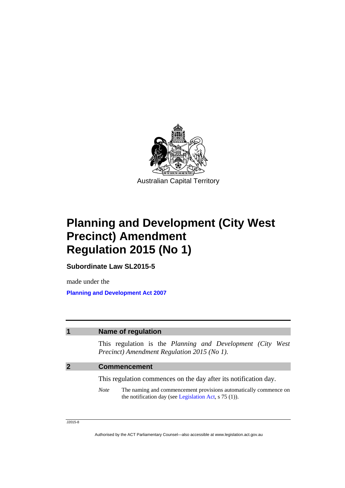

## **Planning and Development (City West Precinct) Amendment Regulation 2015 (No 1)**

**Subordinate Law SL2015-5** 

made under the **[Planning and Development Act 2007](http://www.legislation.act.gov.au/a/2007-24)**

| <b>Name of regulation</b>                                                                                                                         |
|---------------------------------------------------------------------------------------------------------------------------------------------------|
| This regulation is the Planning and Development (City<br>West<br>Precinct) Amendment Regulation 2015 (No 1).                                      |
| <b>Commencement</b>                                                                                                                               |
| This regulation commences on the day after its notification day.                                                                                  |
| The naming and commencement provisions automatically commence on<br><b>Note</b><br>the notification day (see Legislation Act, $\frac{1}{5}$ (1)). |

J2015-8

Authorised by the ACT Parliamentary Counsel—also accessible at www.legislation.act.gov.au